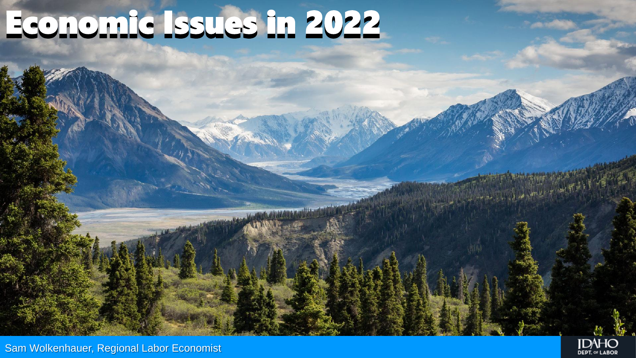# Economic Issues in 2022

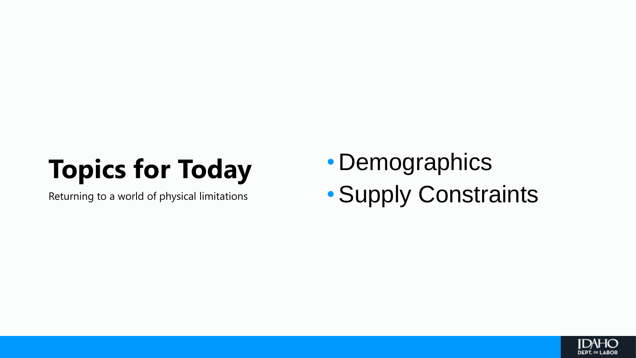## **Topics for Today**

Returning to a world of physical limitations

• Demographics •Supply Constraints

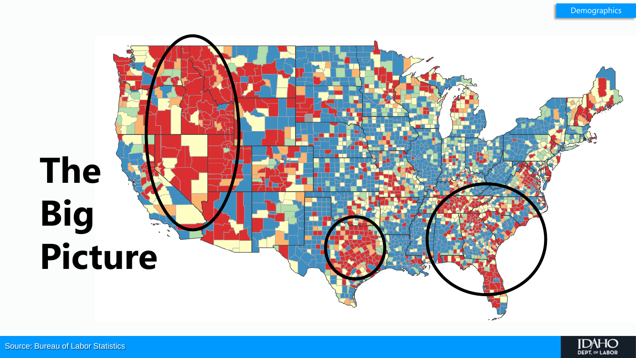

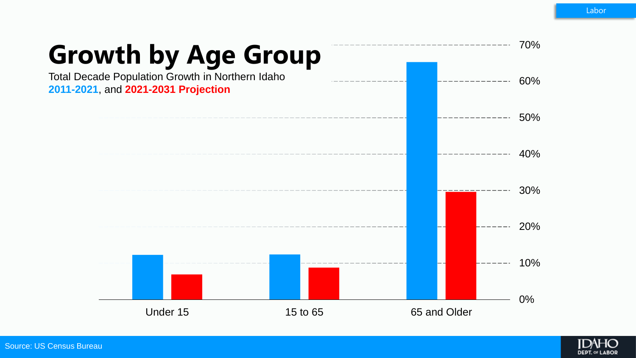

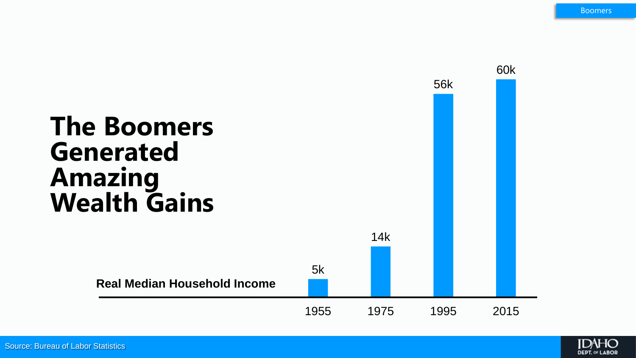

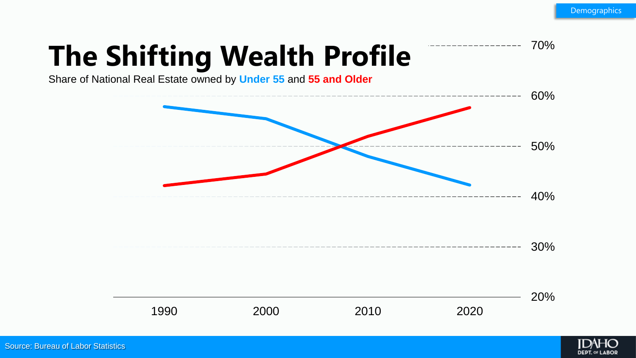70%

# **The Shifting Wealth Profile**

Share of National Real Estate owned by **Under 55** and **55 and Older**



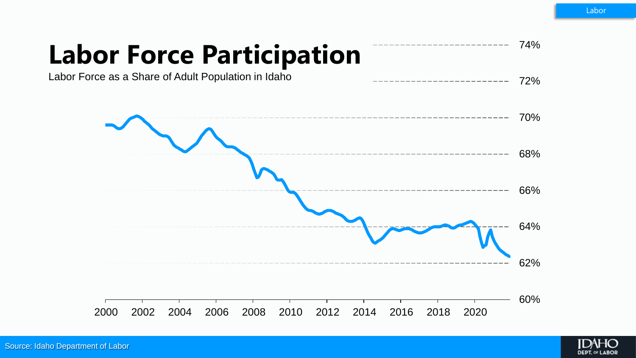72%

74%

#### **Labor Force Participation**

Labor Force as a Share of Adult Population in Idaho



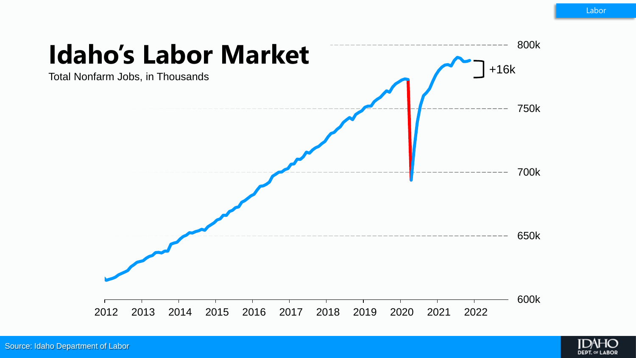

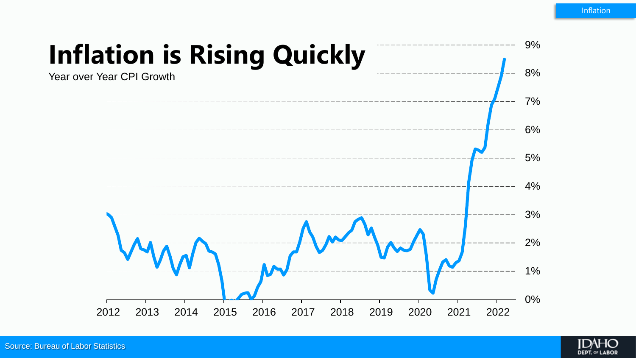

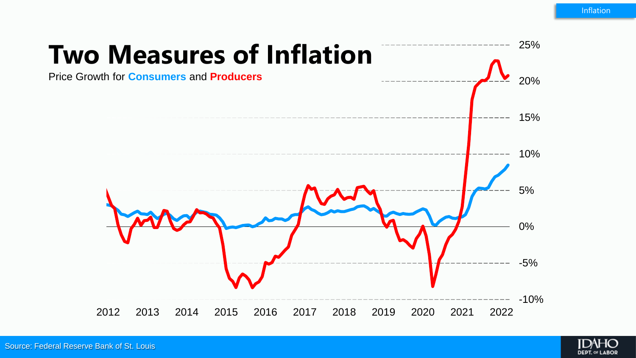

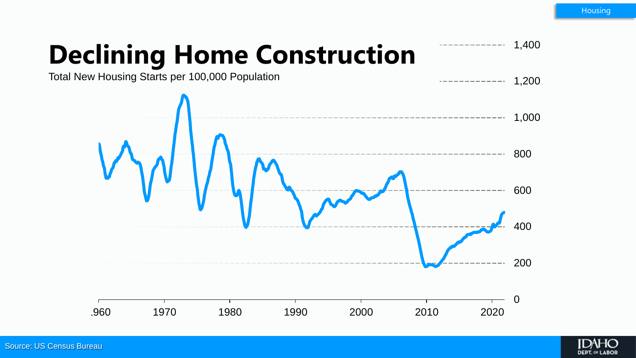1,400

## **Declining Home Construction**



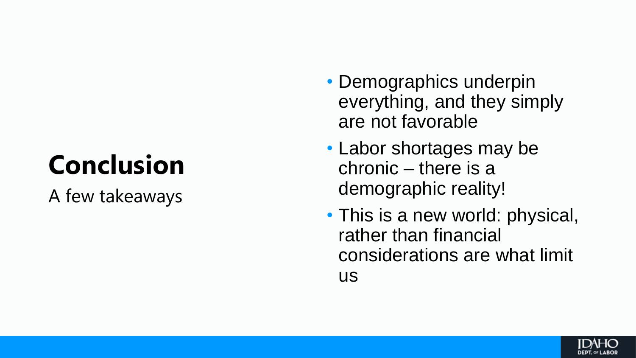# **Conclusion**

A few takeaways

- Demographics underpin everything, and they simply are not favorable
- Labor shortages may be chronic – there is a demographic reality!
- This is a new world: physical, rather than financial considerations are what limit us